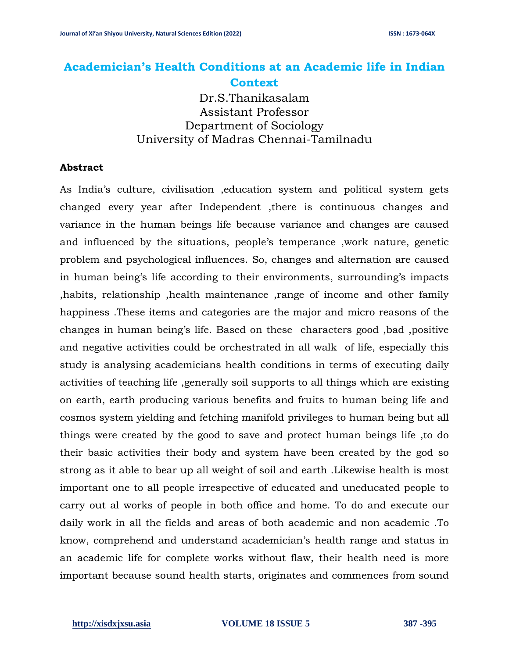# **Academician's Health Conditions at an Academic life in Indian Context**

Dr.S.Thanikasalam Assistant Professor Department of Sociology University of Madras Chennai-Tamilnadu

#### **Abstract**

As India's culture, civilisation ,education system and political system gets changed every year after Independent ,there is continuous changes and variance in the human beings life because variance and changes are caused and influenced by the situations, people's temperance ,work nature, genetic problem and psychological influences. So, changes and alternation are caused in human being's life according to their environments, surrounding's impacts ,habits, relationship ,health maintenance ,range of income and other family happiness .These items and categories are the major and micro reasons of the changes in human being's life. Based on these characters good ,bad ,positive and negative activities could be orchestrated in all walk of life, especially this study is analysing academicians health conditions in terms of executing daily activities of teaching life ,generally soil supports to all things which are existing on earth, earth producing various benefits and fruits to human being life and cosmos system yielding and fetching manifold privileges to human being but all things were created by the good to save and protect human beings life ,to do their basic activities their body and system have been created by the god so strong as it able to bear up all weight of soil and earth .Likewise health is most important one to all people irrespective of educated and uneducated people to carry out al works of people in both office and home. To do and execute our daily work in all the fields and areas of both academic and non academic .To know, comprehend and understand academician's health range and status in an academic life for complete works without flaw, their health need is more important because sound health starts, originates and commences from sound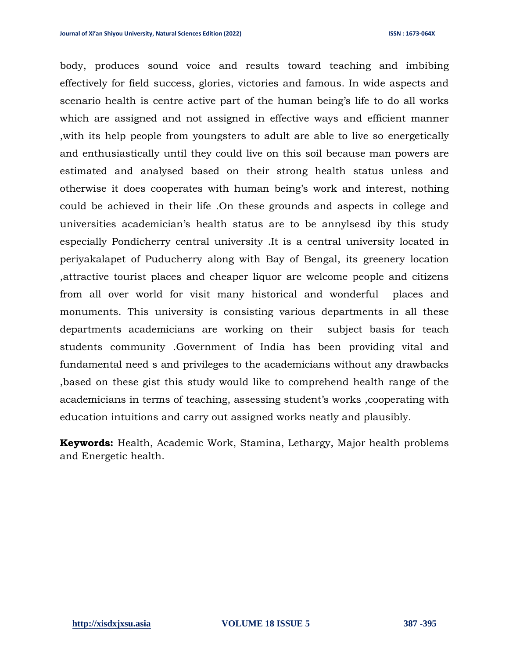body, produces sound voice and results toward teaching and imbibing effectively for field success, glories, victories and famous. In wide aspects and scenario health is centre active part of the human being's life to do all works which are assigned and not assigned in effective ways and efficient manner ,with its help people from youngsters to adult are able to live so energetically and enthusiastically until they could live on this soil because man powers are estimated and analysed based on their strong health status unless and otherwise it does cooperates with human being's work and interest, nothing could be achieved in their life .On these grounds and aspects in college and universities academician's health status are to be annylsesd iby this study especially Pondicherry central university .It is a central university located in periyakalapet of Puducherry along with Bay of Bengal, its greenery location ,attractive tourist places and cheaper liquor are welcome people and citizens from all over world for visit many historical and wonderful places and monuments. This university is consisting various departments in all these departments academicians are working on their subject basis for teach students community .Government of India has been providing vital and fundamental need s and privileges to the academicians without any drawbacks ,based on these gist this study would like to comprehend health range of the academicians in terms of teaching, assessing student's works ,cooperating with education intuitions and carry out assigned works neatly and plausibly.

**Keywords:** Health, Academic Work, Stamina, Lethargy, Major health problems and Energetic health.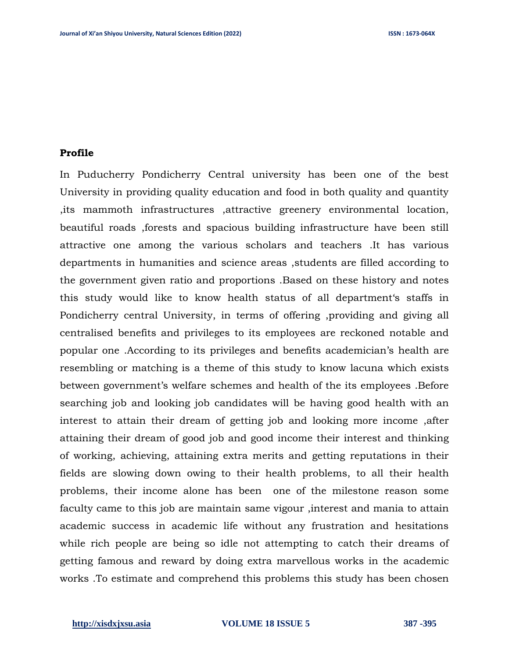#### **Profile**

In Puducherry Pondicherry Central university has been one of the best University in providing quality education and food in both quality and quantity ,its mammoth infrastructures ,attractive greenery environmental location, beautiful roads ,forests and spacious building infrastructure have been still attractive one among the various scholars and teachers .It has various departments in humanities and science areas ,students are filled according to the government given ratio and proportions .Based on these history and notes this study would like to know health status of all department's staffs in Pondicherry central University, in terms of offering ,providing and giving all centralised benefits and privileges to its employees are reckoned notable and popular one .According to its privileges and benefits academician's health are resembling or matching is a theme of this study to know lacuna which exists between government's welfare schemes and health of the its employees .Before searching job and looking job candidates will be having good health with an interest to attain their dream of getting job and looking more income ,after attaining their dream of good job and good income their interest and thinking of working, achieving, attaining extra merits and getting reputations in their fields are slowing down owing to their health problems, to all their health problems, their income alone has been one of the milestone reason some faculty came to this job are maintain same vigour ,interest and mania to attain academic success in academic life without any frustration and hesitations while rich people are being so idle not attempting to catch their dreams of getting famous and reward by doing extra marvellous works in the academic works .To estimate and comprehend this problems this study has been chosen

#### **[http://xisdxjxsu.asia](http://xisdxjxsu.asia/) VOLUME 18 ISSUE 5 387 -395**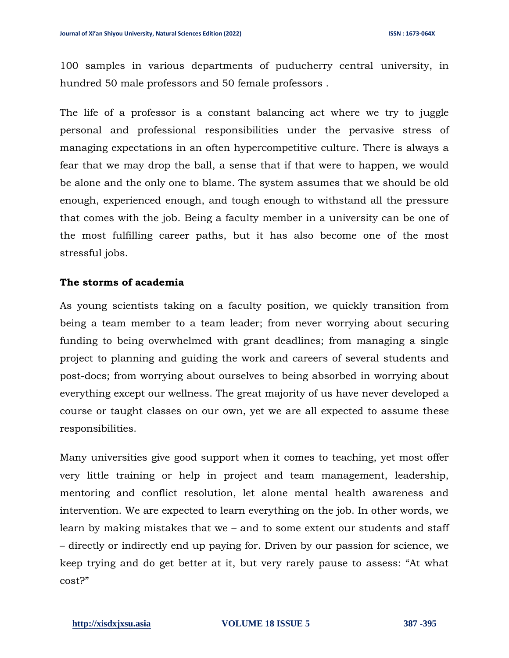100 samples in various departments of puducherry central university, in hundred 50 male professors and 50 female professors .

The life of a professor is a constant balancing act where we try to juggle personal and professional responsibilities under the pervasive stress of managing expectations in an often hypercompetitive culture. There is always a fear that we may drop the ball, a sense that if that were to happen, we would be alone and the only one to blame. The system assumes that we should be old enough, experienced enough, and tough enough to withstand all the pressure that comes with the job. Being a faculty member in a university can be one of the most fulfilling career paths, but it has also become one of the most stressful jobs.

# **The storms of academia**

[As young scientists](https://cen.acs.org/sections/year-in-the-life-of-a-new-professor.html) taking on a faculty position, we quickly transition from being a team member to a team leader; from never worrying about securing funding to being overwhelmed with grant deadlines; from managing a single project to planning and guiding the work and careers of several students and post-docs; from worrying about ourselves to being absorbed in worrying about everything except our wellness. The great majority of us have never developed a course or taught classes on our own, yet we are all expected to assume these responsibilities.

Many universities give good support when it comes to teaching, yet most offer very little training or help in project and team management, leadership, mentoring and conflict resolution, let alone mental health awareness and intervention. We are expected to learn everything on the job. In other words, we learn by making mistakes that we – and to some extent our students and staff – directly or indirectly end up paying for. Driven by our passion for science, we keep trying and do get better at it, but very rarely pause to assess: "At what cost?"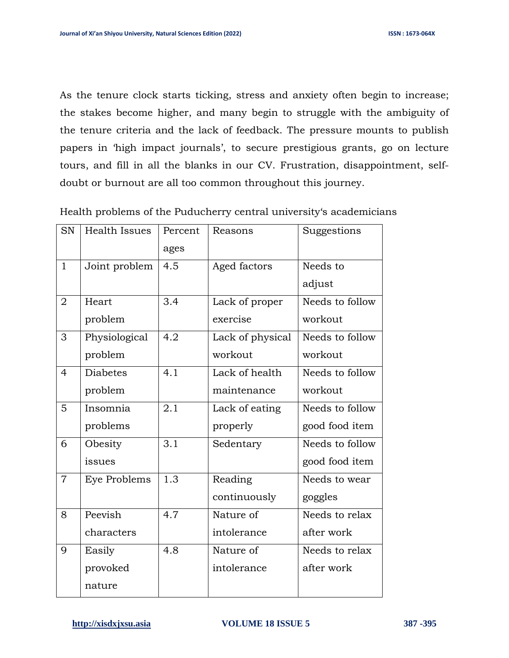As the tenure clock starts ticking, stress and anxiety often begin to increase; the stakes become higher, and many begin to struggle with the ambiguity of the tenure criteria and the lack of feedback. The pressure mounts to publish papers in 'high impact journals', to secure prestigious grants, go on lecture tours, and fill in all the blanks in our CV. Frustration, disappointment, selfdoubt or burnout are all too common throughout this journey.

| <b>SN</b>      | Health Issues       | Percent | Reasons          | Suggestions     |
|----------------|---------------------|---------|------------------|-----------------|
|                |                     | ages    |                  |                 |
| $\mathbf{1}$   | Joint problem       | 4.5     | Aged factors     | Needs to        |
|                |                     |         |                  | adjust          |
| $\overline{2}$ | Heart               | 3.4     | Lack of proper   | Needs to follow |
|                | problem             |         | exercise         | workout         |
| 3              | Physiological       | 4.2     | Lack of physical | Needs to follow |
|                | problem             |         | workout          | workout         |
| $\overline{4}$ | <b>Diabetes</b>     | 4.1     | Lack of health   | Needs to follow |
|                | problem             |         | maintenance      | workout         |
| 5              | Insomnia            | 2.1     | Lack of eating   | Needs to follow |
|                | problems            |         | properly         | good food item  |
| 6              | Obesity             | 3.1     | Sedentary        | Needs to follow |
|                | issues              |         |                  | good food item  |
| $\overline{7}$ | <b>Eye Problems</b> | 1.3     | Reading          | Needs to wear   |
|                |                     |         | continuously     | goggles         |
| 8              | Peevish             | 4.7     | Nature of        | Needs to relax  |
|                | characters          |         | intolerance      | after work      |
| 9              | Easily              | 4.8     | Nature of        | Needs to relax  |
|                | provoked            |         | intolerance      | after work      |
|                | nature              |         |                  |                 |

Health problems of the Puducherry central university's academicians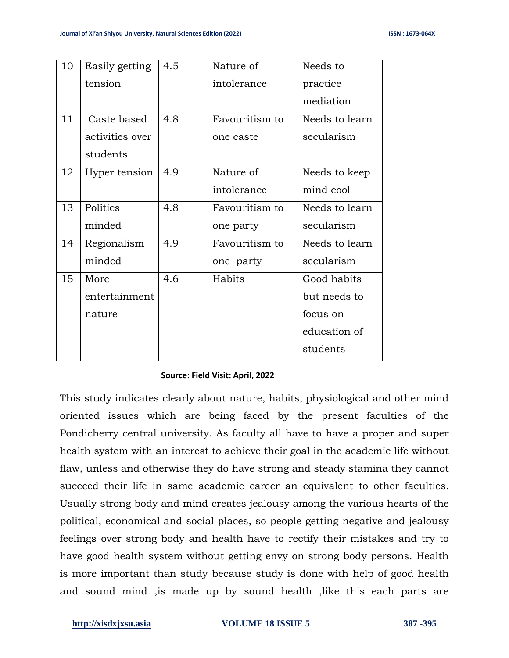| 10 | Easily getting  | 4.5 | Nature of      | Needs to       |
|----|-----------------|-----|----------------|----------------|
|    | tension         |     | intolerance    | practice       |
|    |                 |     |                | mediation      |
| 11 | Caste based     | 4.8 | Favouritism to | Needs to learn |
|    | activities over |     | one caste      | secularism     |
|    | students        |     |                |                |
| 12 | Hyper tension   | 4.9 | Nature of      | Needs to keep  |
|    |                 |     | intolerance    | mind cool      |
| 13 | Politics        | 4.8 | Favouritism to | Needs to learn |
|    | minded          |     | one party      | secularism     |
| 14 | Regionalism     | 4.9 | Favouritism to | Needs to learn |
|    | minded          |     | one party      | secularism     |
| 15 | More            | 4.6 | Habits         | Good habits    |
|    | entertainment   |     |                | but needs to   |
|    | nature          |     |                | focus on       |
|    |                 |     |                | education of   |
|    |                 |     |                | students       |

### **Source: Field Visit: April, 2022**

This study indicates clearly about nature, habits, physiological and other mind oriented issues which are being faced by the present faculties of the Pondicherry central university. As faculty all have to have a proper and super health system with an interest to achieve their goal in the academic life without flaw, unless and otherwise they do have strong and steady stamina they cannot succeed their life in same academic career an equivalent to other faculties. Usually strong body and mind creates jealousy among the various hearts of the political, economical and social places, so people getting negative and jealousy feelings over strong body and health have to rectify their mistakes and try to have good health system without getting envy on strong body persons. Health is more important than study because study is done with help of good health and sound mind ,is made up by sound health ,like this each parts are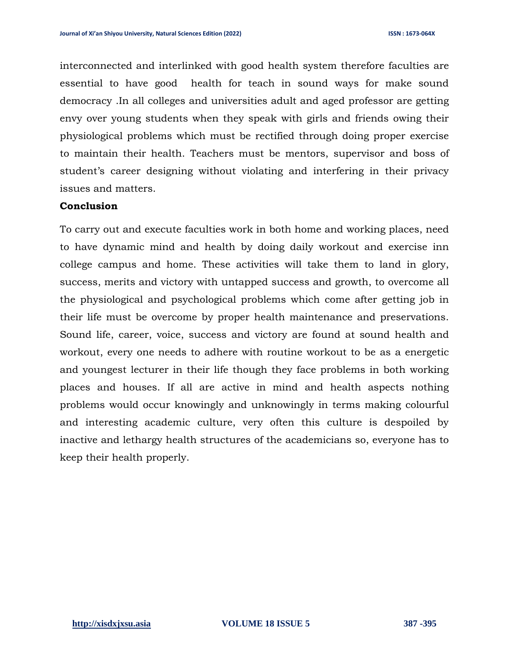interconnected and interlinked with good health system therefore faculties are essential to have good health for teach in sound ways for make sound democracy .In all colleges and universities adult and aged professor are getting envy over young students when they speak with girls and friends owing their physiological problems which must be rectified through doing proper exercise to maintain their health. Teachers must be mentors, supervisor and boss of student's career designing without violating and interfering in their privacy issues and matters.

# **Conclusion**

To carry out and execute faculties work in both home and working places, need to have dynamic mind and health by doing daily workout and exercise inn college campus and home. These activities will take them to land in glory, success, merits and victory with untapped success and growth, to overcome all the physiological and psychological problems which come after getting job in their life must be overcome by proper health maintenance and preservations. Sound life, career, voice, success and victory are found at sound health and workout, every one needs to adhere with routine workout to be as a energetic and youngest lecturer in their life though they face problems in both working places and houses. If all are active in mind and health aspects nothing problems would occur knowingly and unknowingly in terms making colourful and interesting academic culture, very often this culture is despoiled by inactive and lethargy health structures of the academicians so, everyone has to keep their health properly.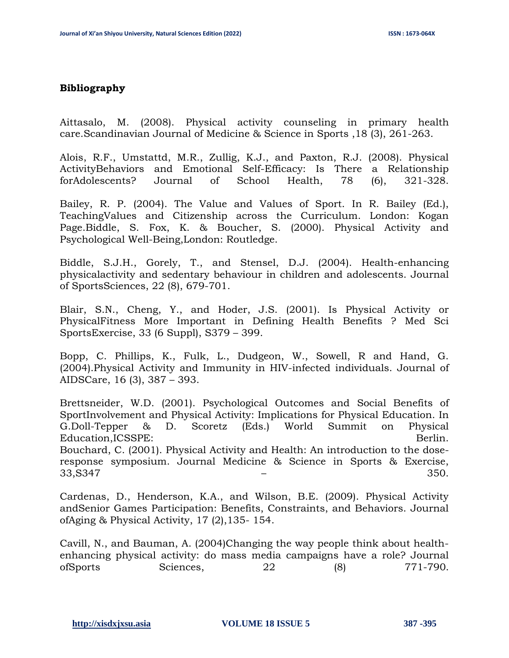## **Bibliography**

Aittasalo, M. (2008). Physical activity counseling in primary health care.Scandinavian Journal of Medicine & Science in Sports ,18 (3), 261-263.

Alois, R.F., Umstattd, M.R., Zullig, K.J., and Paxton, R.J. (2008). Physical ActivityBehaviors and Emotional Self-Efficacy: Is There a Relationship forAdolescents? Journal of School Health, 78 (6), 321-328.

Bailey, R. P. (2004). The Value and Values of Sport. In R. Bailey (Ed.), TeachingValues and Citizenship across the Curriculum. London: Kogan Page.Biddle, S. Fox, K. & Boucher, S. (2000). Physical Activity and Psychological Well-Being,London: Routledge.

Biddle, S.J.H., Gorely, T., and Stensel, D.J. (2004). Health-enhancing physicalactivity and sedentary behaviour in children and adolescents. Journal of SportsSciences, 22 (8), 679-701.

Blair, S.N., Cheng, Y., and Hoder, J.S. (2001). Is Physical Activity or PhysicalFitness More Important in Defining Health Benefits ? Med Sci SportsExercise, 33 (6 Suppl), S379 – 399.

Bopp, C. Phillips, K., Fulk, L., Dudgeon, W., Sowell, R and Hand, G. (2004).Physical Activity and Immunity in HIV-infected individuals. Journal of AIDSCare, 16 (3), 387 – 393.

Brettsneider, W.D. (2001). Psychological Outcomes and Social Benefits of SportInvolvement and Physical Activity: Implications for Physical Education. In G.Doll-Tepper & D. Scoretz (Eds.) World Summit on Physical Education, ICSSPE: Berlin. Bouchard, C. (2001). Physical Activity and Health: An introduction to the doseresponse symposium. Journal Medicine & Science in Sports & Exercise,  $33,8347$   $-$  350.

Cardenas, D., Henderson, K.A., and Wilson, B.E. (2009). Physical Activity andSenior Games Participation: Benefits, Constraints, and Behaviors. Journal ofAging & Physical Activity, 17 (2),135- 154.

Cavill, N., and Bauman, A. (2004)Changing the way people think about healthenhancing physical activity: do mass media campaigns have a role? Journal ofSports Sciences, 22 (8) 771-790.